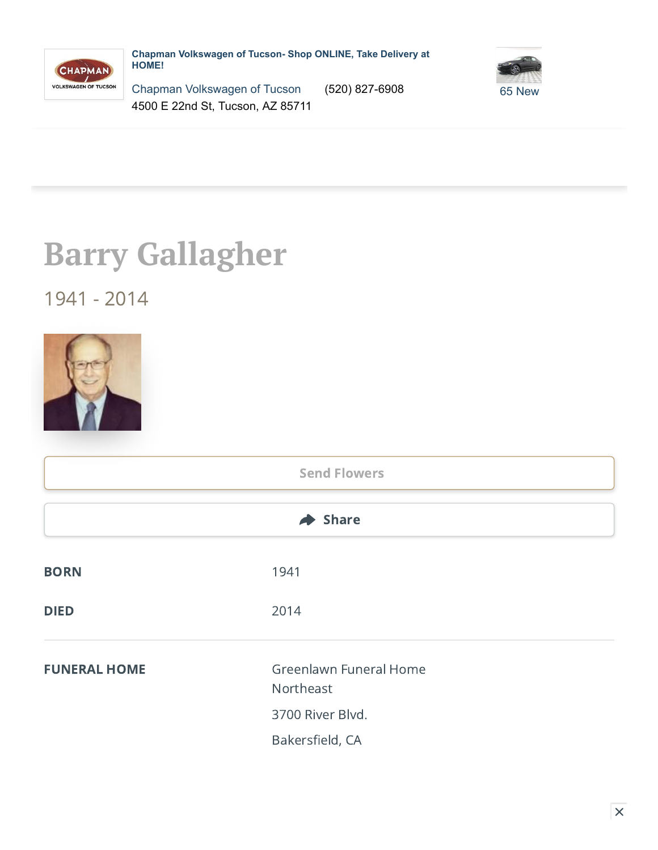

**Chapman Volkswagen of Tucson- Shop ONLINE, Take Delivery at HOME!**



Chapman [Volkswagen](https://www.cargurus.com/Cars/trackPartnerContentRedirect.action?spid=60110&cid=34124&lkt=WEBSITE_LINK&nt=MEDIAMATH&tu=https://pixel.mathtag.com/click/img%3Fmt_aid%3D1601122845259034466%26mt_id%3D8700548%26mt_adid%3D224656%26mt_sid%3D7411559%26mt_exid%3D62%26mt_inapp%3D0%26mt_os%3DWindows%26mt_uuid%3Dc62f603d-9df4-4200-80c0-593f9fde71a3%26mt_cid%3Dc62f603d-9df4-4200-80c0-593f9fde71a3%26mt_lp%3Dhttps%253A//www.tucsonvw.com/%253Futm_source%253Dcargurus.com%2526utm_medium%253Dreferral%2526utm_campaign%253Dcargurus_listings%26redirect%3D) of Tucson (520) 827-6908 65 [New](https://www.cargurus.com/Cars/trackPartnerContentRedirect.action?spid=60110&cid=34124&lkt=NEW_INVENTORY_LINK&nt=MEDIAMATH&tu=https://pixel.mathtag.com/click/img%3Fmt_aid%3D1601122845259034466%26mt_id%3D8700548%26mt_adid%3D224656%26mt_sid%3D7411559%26mt_exid%3D62%26mt_inapp%3D0%26mt_os%3DWindows%26mt_uuid%3Dc62f603d-9df4-4200-80c0-593f9fde71a3%26mt_cid%3Dc62f603d-9df4-4200-80c0-593f9fde71a3%26mt_lp%3Dhttps%253A//www.tucsonvw.com/%253Futm_source%253Dcargurus.com%2526utm_medium%253Dreferral%2526utm_campaign%253Dcargurus_listings%26redirect%3D) 4500 E 22nd St, Tucson, AZ 85711

## **Barry Gallagher**

## 1941 - 2014



|                     | <b>Send Flowers</b>                 |  |
|---------------------|-------------------------------------|--|
|                     | $\blacktriangleright$ Share         |  |
| <b>BORN</b>         | 1941                                |  |
| <b>DIED</b>         | 2014                                |  |
| <b>FUNERAL HOME</b> | Greenlawn Funeral Home<br>Northeast |  |
|                     | 3700 River Blvd.                    |  |
|                     | Bakersfield, CA                     |  |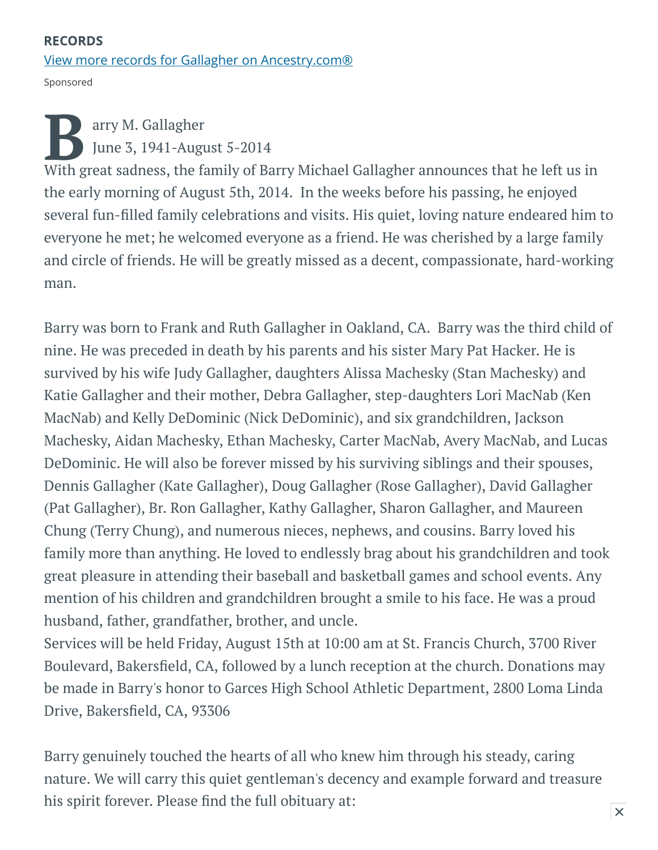## RECORDS [View more records for Gallagher on Ancestry.com®](https://adclick.g.doubleclick.net/pcs/click?xai=AKAOjstNbwvPLhSLMkZ15oKoer7lNKEVCWC7J8TlhbBZziPIjDL3mphFO-XQPh92Zf1ok-eEhr2_F_i2YwgGtD102AfsoOwk56Lpu1zuns2LjVUbeW2eEzFLar4rPzZZUV5eC-1xgqPF1CRvxDhj_TCUPNurpxCXL2h2tAM84v4ZkYreZm6_nK-NErmQMU2Alt_MvOWYIPCVkmFFDgStusV0fkr2Lo7nfxF78RXjPHJPsjR6g9m1R6iM8fj6_i2D7ZTcZnpMj--02-3EVNDmZOpi-bNrgWfWLeiMkFmSFIZT1mlEBVVFnykDamO5ke8JPuaYnp_3PrK8CyMk-MRc5gXcBZ8YRg&sai=AMfl-YRI-HABFi_7TvQQXw0jm7wMuE0QIXP96KYZj26hxmIpXbHQ_fSXQaDmcvEmkI5H8czHeJ0MFuVV_pI2ppUwGj9Xq4rzGdR-Y4vJ_XAbnuM9ZK35TMlIJcv1PRSIk32a7WynDQ&sig=Cg0ArKJSzBhL9QGBos_yEAE&fbs_aeid=[gw_fbsaeid]&urlfix=1&adurl=https://prf.hn/click/camref:1101l3yjc/adref:81298/destination:https://www.ancestry.com/cs/partner-records%3FflowId%3DpartnersBirth%26gsfn%3DBarry%26gsln%3DGallagher)

Sponsored

For a B arry M. Gallagher<br>
June 3, 1941-August 5-2014<br>
With great sadness, the family of Barry Michael Gallagher announces that he left us in arry M. Gallagher June 3, 1941-August 5-2014 the early morning of August 5th, 2014. In the weeks before his passing, he enjoyed several fun-filled family celebrations and visits. His quiet, loving nature endeared him to everyone he met; he welcomed everyone as a friend. He was cherished by a large family and circle of friends. He will be greatly missed as a decent, compassionate, hard-working man.

Barry was born to Frank and Ruth Gallagher in Oakland, CA. Barry was the third child of nine. He was preceded in death by his parents and his sister Mary Pat Hacker. He is survived by his wife Judy Gallagher, daughters Alissa Machesky (Stan Machesky) and Katie Gallagher and their mother, Debra Gallagher, step-daughters Lori MacNab (Ken MacNab) and Kelly DeDominic (Nick DeDominic), and six grandchildren, Jackson Machesky, Aidan Machesky, Ethan Machesky, Carter MacNab, Avery MacNab, and Lucas DeDominic. He will also be forever missed by his surviving siblings and their spouses, Dennis Gallagher (Kate Gallagher), Doug Gallagher (Rose Gallagher), David Gallagher (Pat Gallagher), Br. Ron Gallagher, Kathy Gallagher, Sharon Gallagher, and Maureen Chung (Terry Chung), and numerous nieces, nephews, and cousins. Barry loved his family more than anything. He loved to endlessly brag about his grandchildren and took great pleasure in attending their baseball and basketball games and school events. Any mention of his children and grandchildren brought a smile to his face. He was a proud husband, father, grandfather, brother, and uncle.

Services will be held Friday, August 15th at 10:00 am at St. Francis Church, 3700 River Boulevard, Bakersfield, CA, followed by a lunch reception at the church. Donations may be made in Barry's honor to Garces High School Athletic Department, 2800 Loma Linda Drive, Bakersfield, CA, 93306

Barry genuinely touched the hearts of all who knew him through his steady, caring nature. We will carry this quiet gentleman's decency and example forward and treasure his spirit forever. Please find the full obituary at: